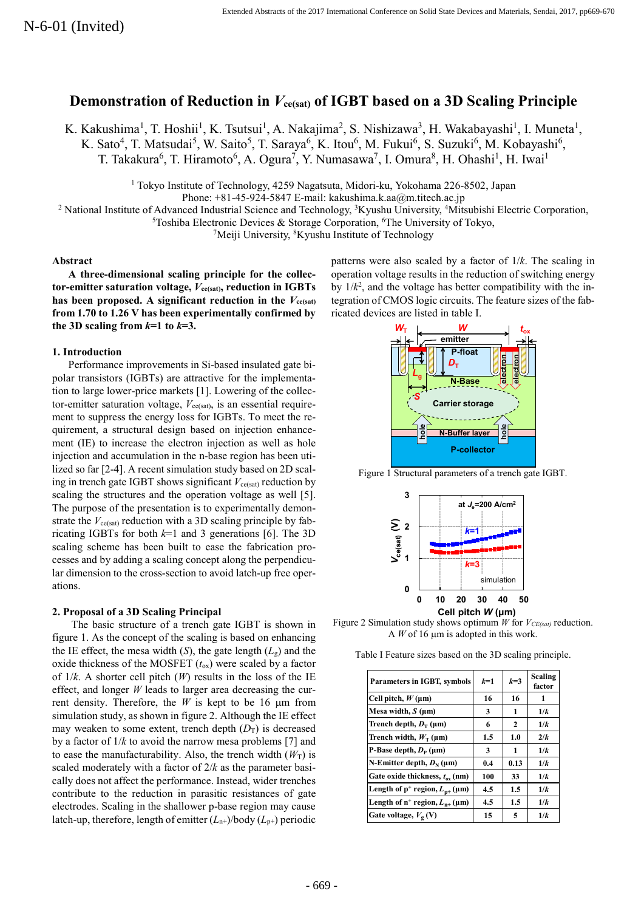# Demonstration of Reduction in  $V_{\text{ce(sat)}}$  of IGBT based on a 3D Scaling Principle

K. Kakushima<sup>1</sup>, T. Hoshii<sup>1</sup>, K. Tsutsui<sup>1</sup>, A. Nakajima<sup>2</sup>, S. Nishizawa<sup>3</sup>, H. Wakabayashi<sup>1</sup>, I. Muneta<sup>1</sup>, K. Sato<sup>4</sup>, T. Matsudai<sup>5</sup>, W. Saito<sup>5</sup>, T. Saraya<sup>6</sup>, K. Itou<sup>6</sup>, M. Fukui<sup>6</sup>, S. Suzuki<sup>6</sup>, M. Kobayashi<sup>6</sup>,

T. Takakura<sup>6</sup>, T. Hiramoto<sup>6</sup>, A. Ogura<sup>7</sup>, Y. Numasawa<sup>7</sup>, I. Omura<sup>8</sup>, H. Ohashi<sup>1</sup>, H. Iwai<sup>1</sup>

<sup>1</sup> Tokyo Institute of Technology, 4259 Nagatsuta, Midori-ku, Yokohama 226-8502, Japan

Phone:  $+81-45-924-5847$  E-mail: kakushima.k.aa $@m$ .titech.ac.jp

<sup>2</sup> National Institute of Advanced Industrial Science and Technology, <sup>3</sup>Kyushu University, <sup>4</sup>Mitsubishi Electric Corporation,

 $5$ Toshiba Electronic Devices & Storage Corporation,  $6$ The University of Tokyo,

<sup>7</sup>Meiji University, <sup>8</sup>Kyushu Institute of Technology

# Abstract

A three-dimensional scaling principle for the collector-emitter saturation voltage,  $V_{\text{ce(sat)}}$ , reduction in IGBTs has been proposed. A significant reduction in the  $V_{\text{ce(sat)}}$ from 1.70 to 1.26 V has been experimentally confirmed by the 3D scaling from  $k=1$  to  $k=3$ .

## 1. Introduction

Performance improvements in Si-based insulated gate bipolar transistors (IGBTs) are attractive for the implementation to large lower-price markets [1]. Lowering of the collector-emitter saturation voltage,  $V_{ce(sat)}$ , is an essential requirement to suppress the energy loss for IGBTs. To meet the requirement, a structural design based on injection enhancement (IE) to increase the electron injection as well as hole injection and accumulation in the n-base region has been utilized so far [2-4]. A recent simulation study based on 2D scaling in trench gate IGBT shows significant  $V_{\text{ce(sat)}}$  reduction by scaling the structures and the operation voltage as well [5]. The purpose of the presentation is to experimentally demonstrate the  $V_{\text{ce(sat)}}$  reduction with a 3D scaling principle by fabricating IGBTs for both  $k=1$  and 3 generations [6]. The 3D scaling scheme has been built to ease the fabrication processes and by adding a scaling concept along the perpendicular dimension to the cross-section to avoid latch-up free operations.

# 2. Proposal of a 3D Scaling Principal

The basic structure of a trench gate IGBT is shown in figure 1. As the concept of the scaling is based on enhancing the IE effect, the mesa width  $(S)$ , the gate length  $(L_g)$  and the oxide thickness of the MOSFET  $(t_{\text{ox}})$  were scaled by a factor of  $1/k$ . A shorter cell pitch  $(W)$  results in the loss of the IE effect, and longer  $W$  leads to larger area decreasing the current density. Therefore, the  $W$  is kept to be 16  $\mu$ m from simulation study, as shown in figure 2. Although the IE effect may weaken to some extent, trench depth  $(D_T)$  is decreased by a factor of  $1/k$  to avoid the narrow mesa problems [7] and to ease the manufacturability. Also, the trench width  $(W_T)$  is scaled moderately with a factor of  $2/k$  as the parameter basically does not affect the performance. Instead, wider trenches contribute to the reduction in parasitic resistances of gate electrodes. Scaling in the shallower p-base region may cause latch-up, therefore, length of emitter  $(L_{n+})$ /body  $(L_{p+})$  periodic patterns were also scaled by a factor of  $1/k$ . The scaling in operation voltage results in the reduction of switching energy by  $1/k<sup>2</sup>$ , and the voltage has better compatibility with the integration of CMOS logic circuits. The feature sizes of the fabricated devices are listed in table I.



Figure 1 Structural parameters of a trench gate IGBT.



Figure 2 Simulation study shows optimum  $W$  for  $V_{CE(sat)}$  reduction. A  $W$  of 16  $\mu$ m is adopted in this work.

Table I Feature sizes based on the 3D scaling principle.

|                                                                                                                                                                                    | hole<br><b>N-Buffer layer</b>                |                                       | $\frac{1}{2}$        |                                          |
|------------------------------------------------------------------------------------------------------------------------------------------------------------------------------------|----------------------------------------------|---------------------------------------|----------------------|------------------------------------------|
|                                                                                                                                                                                    | <b>P-collector</b>                           |                                       |                      |                                          |
| igure 1 Structural parameters of a trench gate IGBT.                                                                                                                               |                                              |                                       |                      |                                          |
| 3                                                                                                                                                                                  |                                              | at $J_{\rm e}$ =200 A/cm <sup>2</sup> |                      |                                          |
|                                                                                                                                                                                    |                                              |                                       |                      |                                          |
| $V_{\text{ce(sat)}}$ $\Omega$<br>$\Delta$                                                                                                                                          | $k=1$                                        |                                       |                      |                                          |
|                                                                                                                                                                                    |                                              |                                       |                      |                                          |
|                                                                                                                                                                                    | $k = 3$                                      |                                       |                      |                                          |
| $\mathbf 0$                                                                                                                                                                        |                                              | simulation                            |                      |                                          |
| Simulation study shows optimum $W$ for $V_{CE(sat)}$ reduction.<br>ble I Feature sizes based on the 3D scaling principle.<br>Parameters in IGBT, symbols<br>Cell pitch, $W(\mu m)$ | A $W$ of 16 $\mu$ m is adopted in this work. | $k=1$<br>16                           | $k=3$<br>16          | <b>Scaling</b><br>factor<br>$\mathbf{1}$ |
| Mesa width, S (µm)                                                                                                                                                                 |                                              | 3                                     | $\mathbf{1}$         | 1/k                                      |
| Trench depth, $D_T$ ( $\mu$ m)                                                                                                                                                     |                                              | 6                                     | $\mathbf{2}$         | 1/k                                      |
| Trench width, $W_T$ (µm)                                                                                                                                                           |                                              | 1.5                                   | 1.0                  | 2/k                                      |
|                                                                                                                                                                                    |                                              | 3                                     | $\mathbf{1}$<br>0.13 | 1/k<br>1/k                               |
| P-Base depth, $D_P(\mu m)$                                                                                                                                                         |                                              |                                       |                      |                                          |
| N-Emitter depth, $D_N(\mu m)$                                                                                                                                                      |                                              | 0.4                                   |                      |                                          |
| Gate oxide thickness, $t_{ox}$ (nm)                                                                                                                                                |                                              | 100<br>4.5                            | 33<br>1.5            | 1/k<br>1/k                               |
| Length of $p^+$ region, $L_{p^+}(\mu m)$<br>Length of $n^+$ region, $L_{n^+}(\mu m)$                                                                                               |                                              | 4.5                                   | 1.5                  | 1/k                                      |